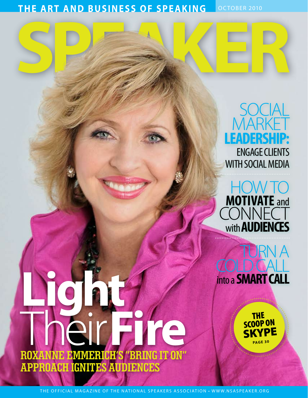**THE ART AND BUSINESS OF SPEAKING** OCTOBER 2010

# SOCIAL **MARKET Leadership:** Engage clients with social media





THE<br>SCOOP ON **SKYPE PAGE 30**

Their **Fire Roxanne Emmerich's "bring it on" approach ignites audiences**

**Light**

THE OFFICIAL MAGAZINE OF THE NATIONAL SPEAKERS ASSOCIATION • WWW.NSASPEAKER.ORG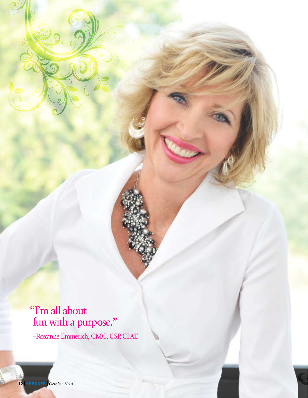"I'm all about fun with a purpose."

–Roxanne Emmerich, CMC, CSP, CPAE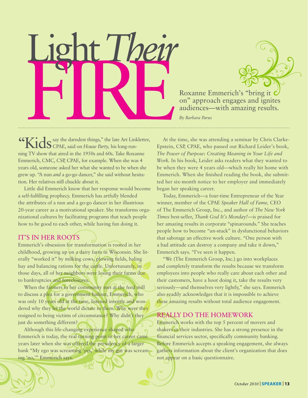Roxanne Emmerich's "bring it Con" approach engages and ignites<br>audiences—with amazing results. Light *Their*

Roxanne Emmerich's "bring it on" approach engages and ignites

"Kids say the darndest things," the late Art Linkletter, CPAE, said on *House Party,* his long-running TV show that aired in the 1950s and 60s. Take Roxanne Emmerich, CMC, CSP, CPAE, for example. When she was 4 years old, someone asked her what she wanted to be when she grew up. "A nun *and* a go-go dancer," she said without hesitation. Her relatives still chuckle about it.

Little did Emmerich know that her response would become a self-fulfilling prophecy. Emmerich has artfully blended the attributes of a nun and a go-go dancer in her illustrious 20-year career as a motivational speaker. She transforms organizational cultures by facilitating programs that teach people how to be good to each other, while having fun doing it.

## IT'S IN HER ROOTS

Emmerich's obsession for transformation is rooted in her childhood, growing up on a dairy farm in Wisconsin. She literally "worked it" by milking cows, plowing fields, baling hay and balancing rations for the cattle. Unfortunately, in those days, all of her neighbors were losing their farms due to bankruptcies and foreclosures.

When the farmers in her community met at the feed mill to discuss a plea for a government bailout, Emmerich, who was only 10 years old at the time, listened intently and wondered why they let the world dictate to them. Why were they resigned to being victims of circumstance? Why didn't they just do something different?

Although this life-changing experience shaped who Emmerich is today, the real turning point in her career came years later when she was offered the presidency of a larger bank "My ego was screaming 'yes,' while my gut was screaming 'no,'" Emmerich says.

At the time, she was attending a seminar by Chris Clarke-Epstein, CSP, CPAE, who passed out Richard Leider's book, *The Power of Purpose: Creating Meaning in Your Life and Work.* In his book, Leider asks readers what they wanted to be when they were 4 years old—which really hit home with Emmerich. When she finished reading the book, she submitted her six-month notice to her employer and immediately began her speaking career.

Today, Emmerich—a four-time Entrepreneur of the Year winner, member of the CPAE *Speaker Hall of Fame,* CEO of The Emmerich Group, Inc., and author of *The New York Times* best-seller, *Thank God It's Monday!*—is praised for her amazing results in corporate "spinarounds." She teaches people how to become "un-stuck" in dysfunctional behaviors that sabotage an effective work culture. "One person with a bad attitude can destroy a company and take it down," Emmerich says. "I've seen it happen.

"We (The Emmerich Group, Inc.) go into workplaces and completely transform the results because we transform employees into people who really care about each other and their customers, have a hoot doing it, take the results very seriously—and themselves very lightly," she says. Emmerich also readily acknowledges that it is impossible to achieve these amazing results without total audience engagement.

#### Í Really Do the Homework

Emmerich works with the top 5 percent of movers and shakers in their industries. She has a strong presence in the financial services sector, specifically community banking. Before Emmerich accepts a speaking engagement, she always gathers information about the client's organization that does not appear on a basic questionnaire.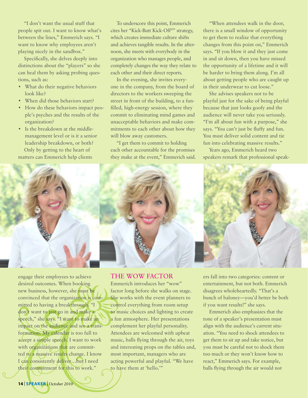"I don't want the usual stuff that people spit out. I want to know what's between the lines," Emmerich says. "I want to know why employees aren't playing nicely in the sandbox."

Specifically, she delves deeply into distinctions about the "players" so she can heal them by asking probing questions, such as:

- What do their negative behaviors look like?
- When did those behaviors start?
- How do these behaviors impact people's psyches and the results of the organization?
- Is the breakdown at the middlemanagement level or is it a senior leadership breakdown, or both? Only by getting to the heart of matters can Emmerich help clients

To underscore this point, Emmerich cites her "Kick-Butt Kick-Off®" strategy, which creates immediate culture shifts and achieves tangible results. In the afternoon, she meets with everybody in the organization who manages people, and completely changes the way they relate to each other and their direct reports.

In the evening, she invites everyone in the company, from the board of directors to the workers sweeping the street in front of the building, to a funfilled, high-energy session, where they commit to eliminating mind games and unacceptable behaviors and make commitments to each other about how they will blow away customers.

"I get them to commit to holding each other accountable for the promises they make at the event," Emmerich said.

"When attendees walk in the door, there is a small window of opportunity to get them to realize that everything changes from this point on," Emmerich says. "If you blow it and they just come in and sit down, then you have missed the opportunity of a lifetime and it will be harder to bring them along. I'm all about getting people who are caught up in their underwear to cut loose."

She advises speakers not to be playful just for the sake of being playful because that just looks goofy and the audience will never take you seriously. "I'm all about fun with a purpose," she says. "You can't just be fluffy and fun. You must deliver solid content and tie fun into celebrating massive results."

Years ago, Emmerich heard two speakers remark that professional speak-



engage their employees to achieve desired outcomes. When booking new business, however, she must be convinced that the organization is committed to having a breakthrough. "I don't want to just go in and make a speech," she says. "I want to make an impact on the audience and see a transformation. My calendar is too full to accept a simple speech. I want to work with organizations that are committed to a massive results change. I know I can consistently deliver…but I need their commitment for this to work."

#### The WOW Factor

Emmerich introduces her "wow" factor long before she walks on stage. She works with the event planners to control everything from room setup to music choices and lighting to create a fun atmosphere. Her presentations complement her playful personality. Attendees are welcomed with upbeat music, balls flying through the air, toys and interesting props on the tables and, most important, managers who are acting powerful and playful. "We have to have them at 'hello.'"

ers fall into two categories: content or entertainment, but not both. Emmerich disagrees wholeheartedly. "That's a bunch of baloney—you'd better be both if you want results!" she says.

Emmerich also emphasizes that the tone of a speaker's presentation must align with the audience's current situation. "You need to shock attendees to get them to sit up and take notice, but you must be careful not to shock them too much or they won't know how to react," Emmerich says. For example, balls flying through the air would not